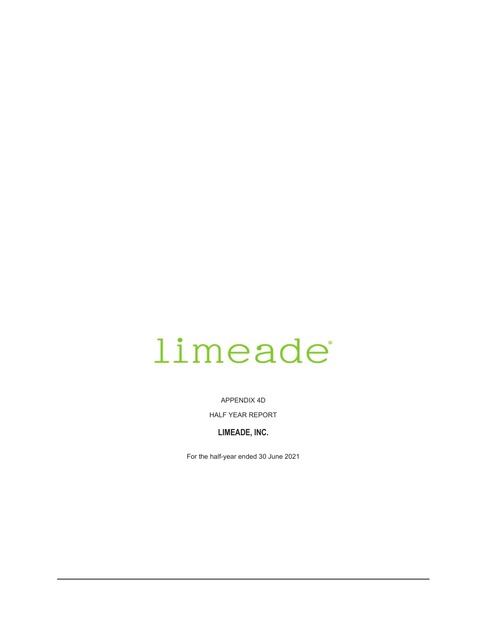# limeade

APPENDIX 4D

HALF YEAR REPORT

# **LIMEADE, INC.**

For the half-year ended 30 June 2021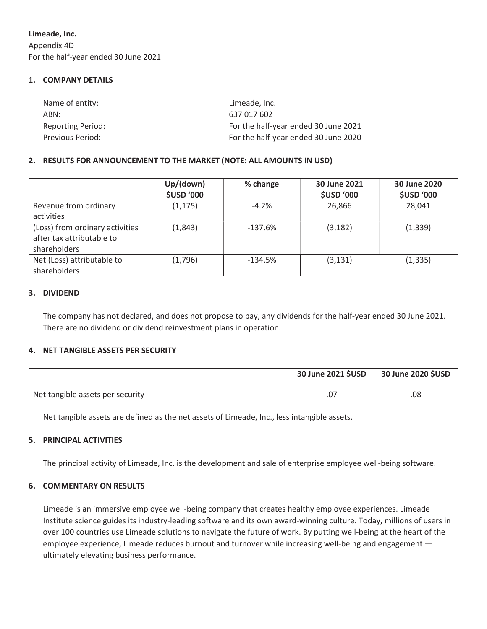**Limeade, Inc.**  Appendix 4D For the half-year ended 30 June 2021

# **1. COMPANY DETAILS**

| Name of entity:          | Limeade, Inc.                        |
|--------------------------|--------------------------------------|
| ABN:                     | 637 017 602                          |
| <b>Reporting Period:</b> | For the half-year ended 30 June 2021 |
| Previous Period:         | For the half-year ended 30 June 2020 |

# **2. RESULTS FOR ANNOUNCEMENT TO THE MARKET (NOTE: ALL AMOUNTS IN USD)**

|                                                                              | Up/(down)<br><b>\$USD '000</b> | % change  | 30 June 2021<br><b>\$USD '000</b> | 30 June 2020<br><b>\$USD '000</b> |
|------------------------------------------------------------------------------|--------------------------------|-----------|-----------------------------------|-----------------------------------|
| Revenue from ordinary<br>activities                                          | (1, 175)                       | $-4.2%$   | 26,866                            | 28,041                            |
| (Loss) from ordinary activities<br>after tax attributable to<br>shareholders | (1,843)                        | $-137.6%$ | (3, 182)                          | (1, 339)                          |
| Net (Loss) attributable to<br>shareholders                                   | (1,796)                        | $-134.5%$ | (3, 131)                          | (1, 335)                          |

# **3. DIVIDEND**

The company has not declared, and does not propose to pay, any dividends for the half-year ended 30 June 2021. There are no dividend or dividend reinvestment plans in operation.

# **4. NET TANGIBLE ASSETS PER SECURITY**

|                                  | 30 June 2021 \$USD | 30 June 2020 \$USD |
|----------------------------------|--------------------|--------------------|
| Net tangible assets per security |                    | 80.                |

Net tangible assets are defined as the net assets of Limeade, Inc., less intangible assets.

# **5. PRINCIPAL ACTIVITIES**

The principal activity of Limeade, Inc. is the development and sale of enterprise employee well-being software.

# **6. COMMENTARY ON RESULTS**

Limeade is an immersive employee well-being company that creates healthy employee experiences. Limeade Institute science guides its industry-leading software and its own award-winning culture. Today, millions of users in over 100 countries use Limeade solutions to navigate the future of work. By putting well-being at the heart of the employee experience, Limeade reduces burnout and turnover while increasing well-being and engagement ultimately elevating business performance.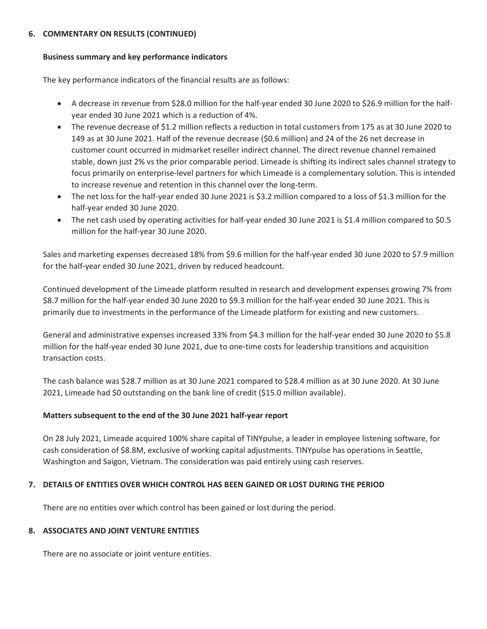# **6. COMMENTARY ON RESULTS (CONTINUED)**

# **Business summary and key performance indicators**

The key performance indicators of the financial results are as follows:

- year ended 30 June 2021 which is a reduction of 4%. • A decrease in revenue from \$28.0 million for the half-year ended 30 June 2020 to \$26.9 million for the half-
- to increase revenue and retention in this channel over the long-term. focus primarily on enterprise-level partners for which Limeade is a complementary solution. This is intended stable, down just 2% vs the prior comparable period. Limeade is shifting its indirect sales channel strategy to customer count occurred in midmarket reseller indirect channel. The direct revenue channel remained 149 as at 30 June 2021. Half of the revenue decrease (\$0.6 million) and 24 of the 26 net decrease in • The revenue decrease of \$1.2 million reflects a reduction in total customers from 175 as at 30 June 2020 to
- half-year ended 30 June 2020. • The net loss for the half-year ended 30 June 2021 is \$3.2 million compared to a loss of \$1.3 million for the
- million for the half-year 30 June 2020. • The net cash used by operating activities for half-year ended 30 June 2021 is \$1.4 million compared to \$0.5

for the half-year ended 30 June 2021, driven by reduced headcount. Sales and marketing expenses decreased 18% from \$9.6 million for the half-year ended 30 June 2020 to \$7.9 million

primarily due to investments in the performance of the Limeade platform for existing and new customers. \$8.7 million for the half-year ended 30 June 2020 to \$9.3 million for the half-year ended 30 June 2021. This is Continued development of the Limeade platform resulted in research and development expenses growing 7% from

transaction costs. million for the half-year ended 30 June 2021, due to one-time costs for leadership transitions and acquisition General and administrative expenses increased 33% from \$4.3 million for the half-year ended 30 June 2020 to \$5.8

2021, Limeade had \$0 outstanding on the bank line of credit (\$15.0 million available). The cash balance was \$28.7 million as at 30 June 2021 compared to \$28.4 million as at 30 June 2020. At 30 June

# **Matters subsequent to the end of the 30 June 2021 half-year report**

Washington and Saigon, Vietnam. The consideration was paid entirely using cash reserves. cash consideration of \$8.8M, exclusive of working capital adjustments. TINYpulse has operations in Seattle, On 28 July 2021, Limeade acquired 100% share capital of TINYpulse, a leader in employee listening software, for

# **7. DETAILS OF ENTITIES OVER WHICH CONTROL HAS BEEN GAINED OR LOST DURING THE PERIOD**

There are no entities over which control has been gained or lost during the period.

# **8. ASSOCIATES AND JOINT VENTURE ENTITIES**

There are no associate or joint venture entities.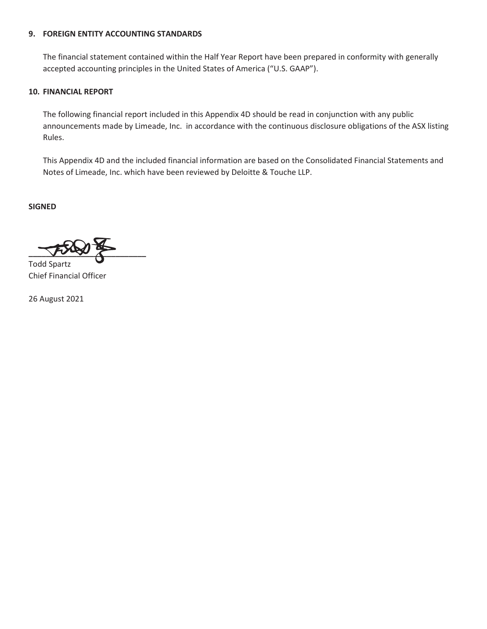## **9. FOREIGN ENTITY ACCOUNTING STANDARDS**

The financial statement contained within the Half Year Report have been prepared in conformity with generally accepted accounting principles in the United States of America ("U.S. GAAP").

## **10. FINANCIAL REPORT**

The following financial report included in this Appendix 4D should be read in conjunction with any public announcements made by Limeade, Inc. in accordance with the continuous disclosure obligations of the ASX listing Rules.

This Appendix 4D and the included financial information are based on the Consolidated Financial Statements and Notes of Limeade, Inc. which have been reviewed by Deloitte & Touche LLP.

**SIGNED** 

 $\frac{1}{\sqrt{2}}$ Todd Spartz

Chief Financial Officer

26 August 2021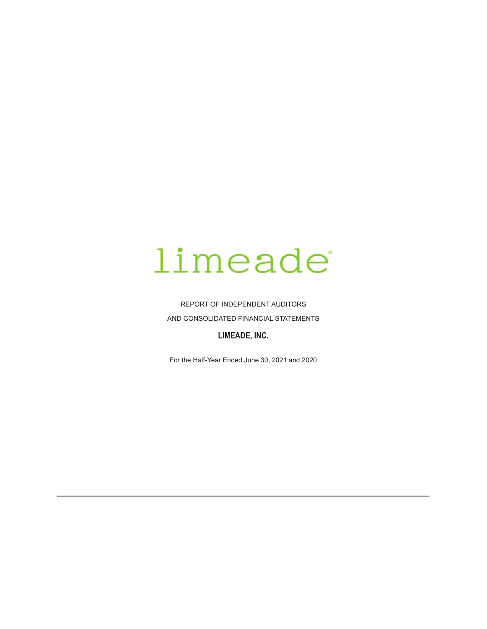# limeade

REPORT OF INDEPENDENT AUDITORS AND CONSOLIDATED FINANCIAL STATEMENTS

# LIMEADE, INC.

For the Half-Year Ended June 30, 2021 and 2020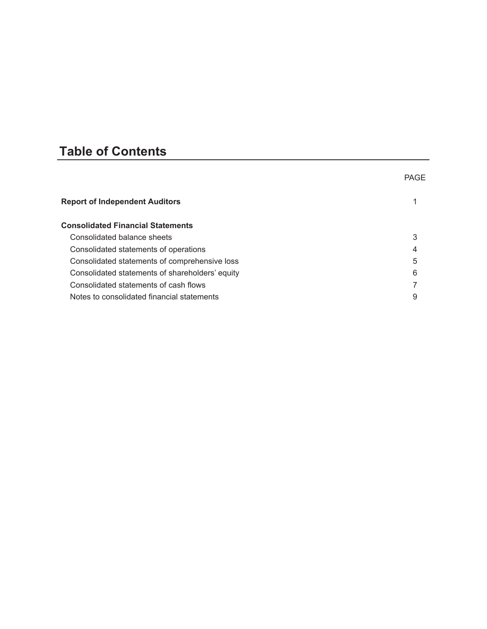# **Table of Contents**

|                                                 | <b>PAGE</b> |
|-------------------------------------------------|-------------|
| <b>Report of Independent Auditors</b>           |             |
| <b>Consolidated Financial Statements</b>        |             |
| Consolidated balance sheets                     | 3           |
| Consolidated statements of operations           | 4           |
| Consolidated statements of comprehensive loss   | 5           |
| Consolidated statements of shareholders' equity | 6           |
| Consolidated statements of cash flows           |             |
| Notes to consolidated financial statements      | 9           |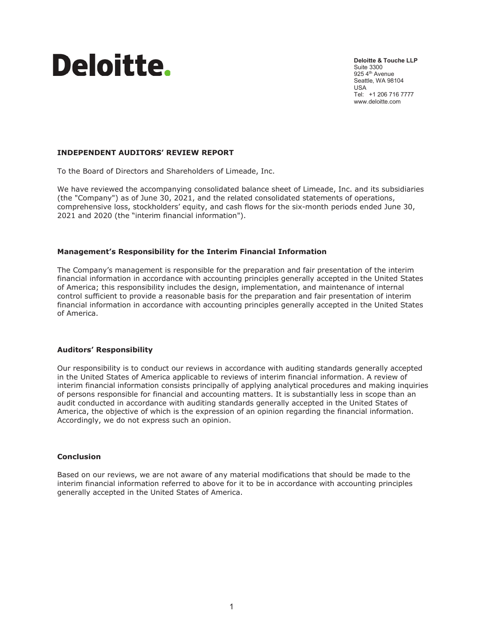

**Deloitte & Touche LLP**  Suite 3300 925 4<sup>th</sup> Avenue Seattle, WA 98104 USA Tel: +1 206 716 7777 www.deloitte.com

### **INDEPENDENT AUDITORS' REVIEW REPORT**

To the Board of Directors and Shareholders of Limeade, Inc.

We have reviewed the accompanying consolidated balance sheet of Limeade, Inc. and its subsidiaries (the "Company") as of June 30, 2021, and the related consolidated statements of operations, comprehensive loss, stockholders' equity, and cash flows for the six-month periods ended June 30, 2021 and 2020 (the "interim financial information").

#### **Management's Responsibility for the Interim Financial Information**

The Company's management is responsible for the preparation and fair presentation of the interim financial information in accordance with accounting principles generally accepted in the United States of America; this responsibility includes the design, implementation, and maintenance of internal control sufficient to provide a reasonable basis for the preparation and fair presentation of interim financial information in accordance with accounting principles generally accepted in the United States of America.

#### **Auditors' Responsibility**

Our responsibility is to conduct our reviews in accordance with auditing standards generally accepted in the United States of America applicable to reviews of interim financial information. A review of interim financial information consists principally of applying analytical procedures and making inquiries of persons responsible for financial and accounting matters. It is substantially less in scope than an audit conducted in accordance with auditing standards generally accepted in the United States of America, the objective of which is the expression of an opinion regarding the financial information. Accordingly, we do not express such an opinion.

#### **Conclusion**

Based on our reviews, we are not aware of any material modifications that should be made to the interim financial information referred to above for it to be in accordance with accounting principles generally accepted in the United States of America.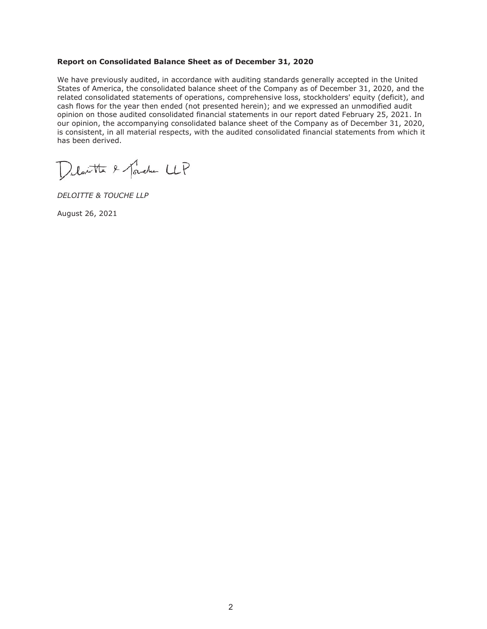#### **Report on Consolidated Balance Sheet as of December 31, 2020**

We have previously audited, in accordance with auditing standards generally accepted in the United States of America, the consolidated balance sheet of the Company as of December 31, 2020, and the related consolidated statements of operations, comprehensive loss, stockholders' equity (deficit), and cash flows for the year then ended (not presented herein); and we expressed an unmodified audit opinion on those audited consolidated financial statements in our report dated February 25, 2021. In our opinion, the accompanying consolidated balance sheet of the Company as of December 31, 2020, is consistent, in all material respects, with the audited consolidated financial statements from which it has been derived.

Delante & forcher LLP

*DELOITTE & TOUCHE LLP* 

August 26, 2021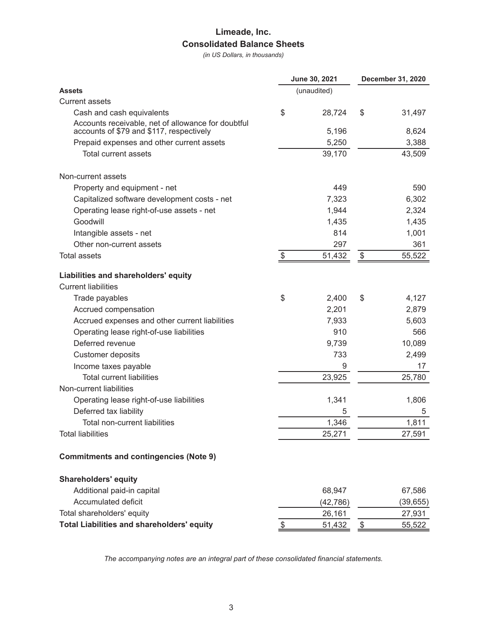# Limeade, Inc. **Consolidated Balance Sheets**

(in US Dollars, in thousands)

|                                                                                                |       | June 30, 2021 | <b>December 31, 2020</b>  |           |  |
|------------------------------------------------------------------------------------------------|-------|---------------|---------------------------|-----------|--|
| Assets                                                                                         |       | (unaudited)   |                           |           |  |
| <b>Current assets</b>                                                                          |       |               |                           |           |  |
| Cash and cash equivalents                                                                      | \$    | 28,724        | \$                        | 31,497    |  |
| Accounts receivable, net of allowance for doubtful<br>accounts of \$79 and \$117, respectively |       | 5,196         |                           | 8,624     |  |
| Prepaid expenses and other current assets                                                      |       | 5,250         |                           | 3,388     |  |
| Total current assets                                                                           |       | 39,170        |                           | 43,509    |  |
| Non-current assets                                                                             |       |               |                           |           |  |
| Property and equipment - net                                                                   |       | 449           |                           | 590       |  |
| Capitalized software development costs - net                                                   |       | 7,323         |                           | 6,302     |  |
| Operating lease right-of-use assets - net                                                      |       | 1,944         |                           | 2,324     |  |
| Goodwill                                                                                       |       | 1,435         |                           | 1,435     |  |
| Intangible assets - net                                                                        |       | 814           |                           | 1,001     |  |
| Other non-current assets                                                                       |       | 297           |                           | 361       |  |
| <b>Total assets</b>                                                                            | $\$\$ | 51,432        | $\boldsymbol{\mathsf{S}}$ | 55,522    |  |
| Liabilities and shareholders' equity<br><b>Current liabilities</b>                             |       |               |                           |           |  |
| Trade payables                                                                                 | \$    | 2,400         | \$                        | 4,127     |  |
| Accrued compensation                                                                           |       | 2,201         |                           | 2,879     |  |
| Accrued expenses and other current liabilities                                                 |       | 7,933         |                           | 5,603     |  |
| Operating lease right-of-use liabilities                                                       |       | 910           |                           | 566       |  |
| Deferred revenue                                                                               |       | 9,739         |                           | 10,089    |  |
| <b>Customer deposits</b>                                                                       |       | 733           |                           | 2,499     |  |
| Income taxes payable                                                                           |       | 9             |                           | 17        |  |
| <b>Total current liabilities</b>                                                               |       | 23,925        |                           | 25,780    |  |
| Non-current liabilities                                                                        |       |               |                           |           |  |
| Operating lease right-of-use liabilities                                                       |       | 1,341         |                           | 1,806     |  |
| Deferred tax liability                                                                         |       | 5             |                           | 5         |  |
| Total non-current liabilities                                                                  |       | 1,346         |                           | 1,811     |  |
| <b>Total liabilities</b>                                                                       |       | 25,271        |                           | 27,591    |  |
| <b>Commitments and contingencies (Note 9)</b>                                                  |       |               |                           |           |  |
| <b>Shareholders' equity</b>                                                                    |       |               |                           |           |  |
| Additional paid-in capital                                                                     |       | 68,947        |                           | 67,586    |  |
| Accumulated deficit                                                                            |       | (42, 786)     |                           | (39, 655) |  |
| Total shareholders' equity                                                                     |       | 26,161        |                           | 27,931    |  |
| <b>Total Liabilities and shareholders' equity</b>                                              | \$    | 51,432        | \$                        | 55,522    |  |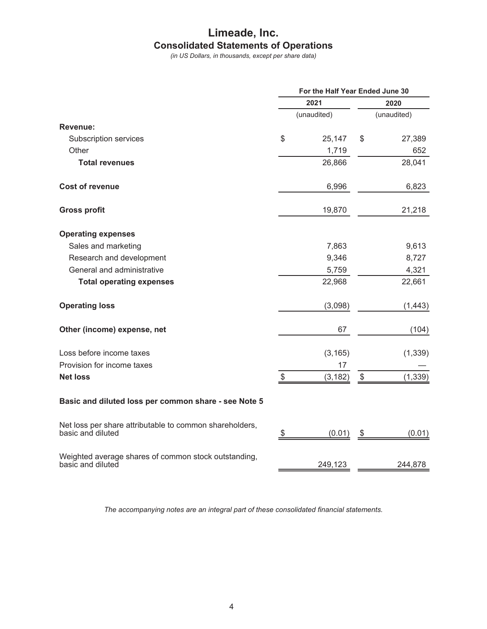# Limeade, Inc. **Consolidated Statements of Operations**

(in US Dollars, in thousands, except per share data)

|                                                                              | For the Half Year Ended June 30 |             |    |             |  |  |
|------------------------------------------------------------------------------|---------------------------------|-------------|----|-------------|--|--|
|                                                                              |                                 | 2021        |    | 2020        |  |  |
|                                                                              |                                 | (unaudited) |    | (unaudited) |  |  |
| Revenue:                                                                     |                                 |             |    |             |  |  |
| Subscription services                                                        | \$                              | 25,147      | \$ | 27,389      |  |  |
| Other                                                                        |                                 | 1,719       |    | 652         |  |  |
| <b>Total revenues</b>                                                        |                                 | 26,866      |    | 28,041      |  |  |
| <b>Cost of revenue</b>                                                       |                                 | 6,996       |    | 6,823       |  |  |
| <b>Gross profit</b>                                                          |                                 | 19,870      |    | 21,218      |  |  |
| <b>Operating expenses</b>                                                    |                                 |             |    |             |  |  |
| Sales and marketing                                                          |                                 | 7,863       |    | 9,613       |  |  |
| Research and development                                                     |                                 | 9,346       |    | 8,727       |  |  |
| General and administrative                                                   |                                 | 5,759       |    | 4,321       |  |  |
| <b>Total operating expenses</b>                                              |                                 | 22,968      |    | 22,661      |  |  |
| <b>Operating loss</b>                                                        |                                 | (3,098)     |    | (1, 443)    |  |  |
| Other (income) expense, net                                                  |                                 | 67          |    | (104)       |  |  |
| Loss before income taxes                                                     |                                 | (3, 165)    |    | (1, 339)    |  |  |
| Provision for income taxes                                                   |                                 | 17          |    |             |  |  |
| <b>Net loss</b>                                                              | \$                              | (3, 182)    | \$ | (1, 339)    |  |  |
| Basic and diluted loss per common share - see Note 5                         |                                 |             |    |             |  |  |
| Net loss per share attributable to common shareholders,<br>basic and diluted | \$                              | (0.01)      | \$ | (0.01)      |  |  |
| Weighted average shares of common stock outstanding,<br>basic and diluted    |                                 | 249,123     |    | 244,878     |  |  |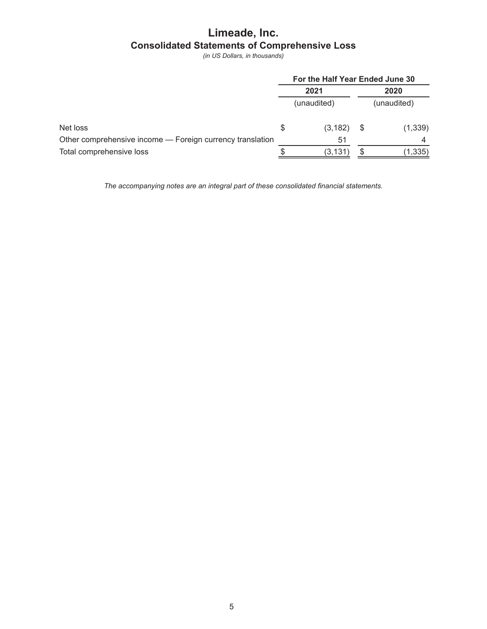# Limeade, Inc. **Consolidated Statements of Comprehensive Loss**

(in US Dollars, in thousands)

|                                                           | For the Half Year Ended June 30 |             |      |             |  |
|-----------------------------------------------------------|---------------------------------|-------------|------|-------------|--|
|                                                           | 2021                            |             | 2020 |             |  |
|                                                           |                                 | (unaudited) |      | (unaudited) |  |
| Net loss                                                  | S                               | (3, 182)    | - \$ | (1, 339)    |  |
| Other comprehensive income - Foreign currency translation |                                 | 51          |      |             |  |
| Total comprehensive loss                                  |                                 | (3,131)     |      | (1, 335)    |  |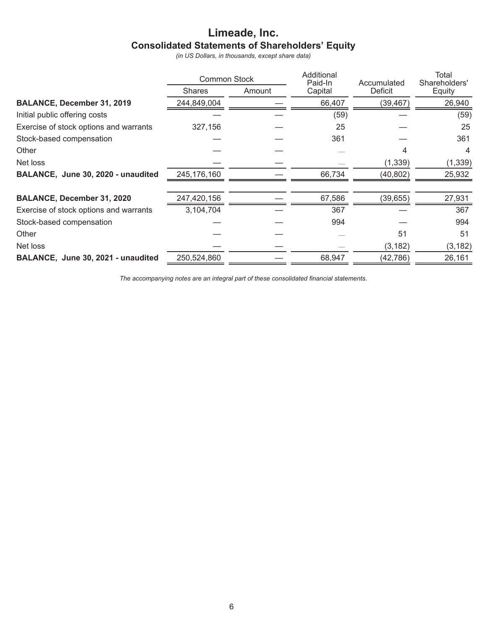# Limeade, Inc. **Consolidated Statements of Shareholders' Equity**

(in US Dollars, in thousands, except share data)

|                                        | <b>Common Stock</b> |        | Additional<br>Paid-In | Accumulated | Total<br>Shareholders' |
|----------------------------------------|---------------------|--------|-----------------------|-------------|------------------------|
|                                        | <b>Shares</b>       | Amount | Capital               | Deficit     | Equity                 |
| <b>BALANCE, December 31, 2019</b>      | 244,849,004         |        | 66,407                | (39, 467)   | 26,940                 |
| Initial public offering costs          |                     |        | (59)                  |             | (59)                   |
| Exercise of stock options and warrants | 327,156             |        | 25                    |             | 25                     |
| Stock-based compensation               |                     |        | 361                   |             | 361                    |
| Other                                  |                     |        |                       | 4           | 4                      |
| Net loss                               |                     |        |                       | (1, 339)    | (1, 339)               |
| BALANCE, June 30, 2020 - unaudited     | 245,176,160         |        | 66,734                | (40, 802)   | 25,932                 |
| <b>BALANCE, December 31, 2020</b>      | 247,420,156         |        | 67,586                | (39, 655)   | 27,931                 |
| Exercise of stock options and warrants | 3,104,704           |        | 367                   |             | 367                    |
| Stock-based compensation               |                     |        | 994                   |             | 994                    |
| Other                                  |                     |        |                       | 51          | 51                     |
| Net loss                               |                     |        |                       | (3, 182)    | (3, 182)               |
| BALANCE, June 30, 2021 - unaudited     | 250,524,860         |        | 68,947                | (42,786)    | 26,161                 |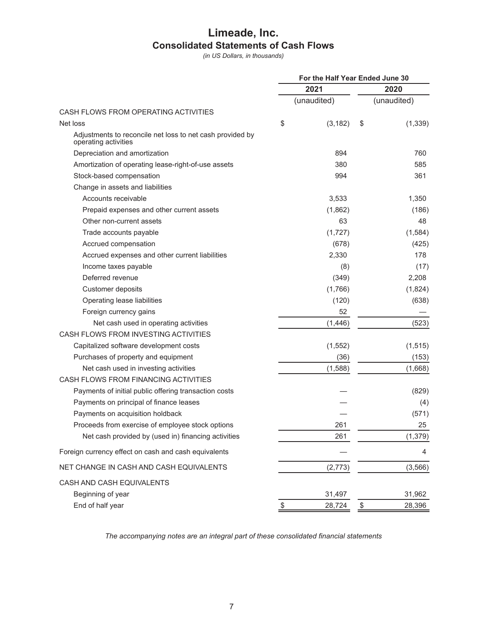# Limeade, Inc. **Consolidated Statements of Cash Flows**

(in US Dollars, in thousands)

| 2021<br>2020<br>(unaudited)<br>(unaudited)<br>CASH FLOWS FROM OPERATING ACTIVITIES<br>\$<br>Net loss<br>(3, 182)<br>\$<br>Adjustments to reconcile net loss to net cash provided by<br>operating activities<br>894<br>760<br>Depreciation and amortization<br>380<br>585<br>Amortization of operating lease-right-of-use assets<br>Stock-based compensation<br>361<br>994<br>Change in assets and liabilities<br>3,533<br>Accounts receivable<br>1,350<br>Prepaid expenses and other current assets<br>(1,862)<br>(186)<br>Other non-current assets<br>63<br>48<br>Trade accounts payable<br>(1,727)<br>(1,584)<br>Accrued compensation<br>(425)<br>(678)<br>2,330<br>Accrued expenses and other current liabilities<br>178<br>Income taxes payable<br>(8)<br>(17)<br>Deferred revenue<br>2,208<br>(349)<br>Customer deposits<br>(1,766)<br>(1,824)<br>Operating lease liabilities<br>(120)<br>(638)<br>52<br>Foreign currency gains<br>Net cash used in operating activities<br>(1,446)<br>(523)<br>CASH FLOWS FROM INVESTING ACTIVITIES<br>(1, 552)<br>Capitalized software development costs<br>(1, 515)<br>Purchases of property and equipment<br>(36)<br>(153)<br>Net cash used in investing activities<br>(1,668)<br>(1,588)<br>CASH FLOWS FROM FINANCING ACTIVITIES<br>Payments of initial public offering transaction costs<br>(829)<br>Payments on principal of finance leases<br>(4)<br>Payments on acquisition holdback<br>(571)<br>Proceeds from exercise of employee stock options<br>261<br>25<br>Net cash provided by (used in) financing activities<br>(1, 379)<br>261<br>Foreign currency effect on cash and cash equivalents<br>4<br>NET CHANGE IN CASH AND CASH EQUIVALENTS<br>(2, 773)<br>(3, 566) | For the Half Year Ended June 30 |  |  |  |  |
|------------------------------------------------------------------------------------------------------------------------------------------------------------------------------------------------------------------------------------------------------------------------------------------------------------------------------------------------------------------------------------------------------------------------------------------------------------------------------------------------------------------------------------------------------------------------------------------------------------------------------------------------------------------------------------------------------------------------------------------------------------------------------------------------------------------------------------------------------------------------------------------------------------------------------------------------------------------------------------------------------------------------------------------------------------------------------------------------------------------------------------------------------------------------------------------------------------------------------------------------------------------------------------------------------------------------------------------------------------------------------------------------------------------------------------------------------------------------------------------------------------------------------------------------------------------------------------------------------------------------------------------------------------------------------------------------------------------------|---------------------------------|--|--|--|--|
| (1, 339)                                                                                                                                                                                                                                                                                                                                                                                                                                                                                                                                                                                                                                                                                                                                                                                                                                                                                                                                                                                                                                                                                                                                                                                                                                                                                                                                                                                                                                                                                                                                                                                                                                                                                                               |                                 |  |  |  |  |
|                                                                                                                                                                                                                                                                                                                                                                                                                                                                                                                                                                                                                                                                                                                                                                                                                                                                                                                                                                                                                                                                                                                                                                                                                                                                                                                                                                                                                                                                                                                                                                                                                                                                                                                        |                                 |  |  |  |  |
|                                                                                                                                                                                                                                                                                                                                                                                                                                                                                                                                                                                                                                                                                                                                                                                                                                                                                                                                                                                                                                                                                                                                                                                                                                                                                                                                                                                                                                                                                                                                                                                                                                                                                                                        |                                 |  |  |  |  |
|                                                                                                                                                                                                                                                                                                                                                                                                                                                                                                                                                                                                                                                                                                                                                                                                                                                                                                                                                                                                                                                                                                                                                                                                                                                                                                                                                                                                                                                                                                                                                                                                                                                                                                                        |                                 |  |  |  |  |
|                                                                                                                                                                                                                                                                                                                                                                                                                                                                                                                                                                                                                                                                                                                                                                                                                                                                                                                                                                                                                                                                                                                                                                                                                                                                                                                                                                                                                                                                                                                                                                                                                                                                                                                        |                                 |  |  |  |  |
|                                                                                                                                                                                                                                                                                                                                                                                                                                                                                                                                                                                                                                                                                                                                                                                                                                                                                                                                                                                                                                                                                                                                                                                                                                                                                                                                                                                                                                                                                                                                                                                                                                                                                                                        |                                 |  |  |  |  |
|                                                                                                                                                                                                                                                                                                                                                                                                                                                                                                                                                                                                                                                                                                                                                                                                                                                                                                                                                                                                                                                                                                                                                                                                                                                                                                                                                                                                                                                                                                                                                                                                                                                                                                                        |                                 |  |  |  |  |
|                                                                                                                                                                                                                                                                                                                                                                                                                                                                                                                                                                                                                                                                                                                                                                                                                                                                                                                                                                                                                                                                                                                                                                                                                                                                                                                                                                                                                                                                                                                                                                                                                                                                                                                        |                                 |  |  |  |  |
|                                                                                                                                                                                                                                                                                                                                                                                                                                                                                                                                                                                                                                                                                                                                                                                                                                                                                                                                                                                                                                                                                                                                                                                                                                                                                                                                                                                                                                                                                                                                                                                                                                                                                                                        |                                 |  |  |  |  |
|                                                                                                                                                                                                                                                                                                                                                                                                                                                                                                                                                                                                                                                                                                                                                                                                                                                                                                                                                                                                                                                                                                                                                                                                                                                                                                                                                                                                                                                                                                                                                                                                                                                                                                                        |                                 |  |  |  |  |
|                                                                                                                                                                                                                                                                                                                                                                                                                                                                                                                                                                                                                                                                                                                                                                                                                                                                                                                                                                                                                                                                                                                                                                                                                                                                                                                                                                                                                                                                                                                                                                                                                                                                                                                        |                                 |  |  |  |  |
|                                                                                                                                                                                                                                                                                                                                                                                                                                                                                                                                                                                                                                                                                                                                                                                                                                                                                                                                                                                                                                                                                                                                                                                                                                                                                                                                                                                                                                                                                                                                                                                                                                                                                                                        |                                 |  |  |  |  |
|                                                                                                                                                                                                                                                                                                                                                                                                                                                                                                                                                                                                                                                                                                                                                                                                                                                                                                                                                                                                                                                                                                                                                                                                                                                                                                                                                                                                                                                                                                                                                                                                                                                                                                                        |                                 |  |  |  |  |
|                                                                                                                                                                                                                                                                                                                                                                                                                                                                                                                                                                                                                                                                                                                                                                                                                                                                                                                                                                                                                                                                                                                                                                                                                                                                                                                                                                                                                                                                                                                                                                                                                                                                                                                        |                                 |  |  |  |  |
|                                                                                                                                                                                                                                                                                                                                                                                                                                                                                                                                                                                                                                                                                                                                                                                                                                                                                                                                                                                                                                                                                                                                                                                                                                                                                                                                                                                                                                                                                                                                                                                                                                                                                                                        |                                 |  |  |  |  |
|                                                                                                                                                                                                                                                                                                                                                                                                                                                                                                                                                                                                                                                                                                                                                                                                                                                                                                                                                                                                                                                                                                                                                                                                                                                                                                                                                                                                                                                                                                                                                                                                                                                                                                                        |                                 |  |  |  |  |
|                                                                                                                                                                                                                                                                                                                                                                                                                                                                                                                                                                                                                                                                                                                                                                                                                                                                                                                                                                                                                                                                                                                                                                                                                                                                                                                                                                                                                                                                                                                                                                                                                                                                                                                        |                                 |  |  |  |  |
|                                                                                                                                                                                                                                                                                                                                                                                                                                                                                                                                                                                                                                                                                                                                                                                                                                                                                                                                                                                                                                                                                                                                                                                                                                                                                                                                                                                                                                                                                                                                                                                                                                                                                                                        |                                 |  |  |  |  |
|                                                                                                                                                                                                                                                                                                                                                                                                                                                                                                                                                                                                                                                                                                                                                                                                                                                                                                                                                                                                                                                                                                                                                                                                                                                                                                                                                                                                                                                                                                                                                                                                                                                                                                                        |                                 |  |  |  |  |
|                                                                                                                                                                                                                                                                                                                                                                                                                                                                                                                                                                                                                                                                                                                                                                                                                                                                                                                                                                                                                                                                                                                                                                                                                                                                                                                                                                                                                                                                                                                                                                                                                                                                                                                        |                                 |  |  |  |  |
|                                                                                                                                                                                                                                                                                                                                                                                                                                                                                                                                                                                                                                                                                                                                                                                                                                                                                                                                                                                                                                                                                                                                                                                                                                                                                                                                                                                                                                                                                                                                                                                                                                                                                                                        |                                 |  |  |  |  |
|                                                                                                                                                                                                                                                                                                                                                                                                                                                                                                                                                                                                                                                                                                                                                                                                                                                                                                                                                                                                                                                                                                                                                                                                                                                                                                                                                                                                                                                                                                                                                                                                                                                                                                                        |                                 |  |  |  |  |
|                                                                                                                                                                                                                                                                                                                                                                                                                                                                                                                                                                                                                                                                                                                                                                                                                                                                                                                                                                                                                                                                                                                                                                                                                                                                                                                                                                                                                                                                                                                                                                                                                                                                                                                        |                                 |  |  |  |  |
|                                                                                                                                                                                                                                                                                                                                                                                                                                                                                                                                                                                                                                                                                                                                                                                                                                                                                                                                                                                                                                                                                                                                                                                                                                                                                                                                                                                                                                                                                                                                                                                                                                                                                                                        |                                 |  |  |  |  |
|                                                                                                                                                                                                                                                                                                                                                                                                                                                                                                                                                                                                                                                                                                                                                                                                                                                                                                                                                                                                                                                                                                                                                                                                                                                                                                                                                                                                                                                                                                                                                                                                                                                                                                                        |                                 |  |  |  |  |
|                                                                                                                                                                                                                                                                                                                                                                                                                                                                                                                                                                                                                                                                                                                                                                                                                                                                                                                                                                                                                                                                                                                                                                                                                                                                                                                                                                                                                                                                                                                                                                                                                                                                                                                        |                                 |  |  |  |  |
|                                                                                                                                                                                                                                                                                                                                                                                                                                                                                                                                                                                                                                                                                                                                                                                                                                                                                                                                                                                                                                                                                                                                                                                                                                                                                                                                                                                                                                                                                                                                                                                                                                                                                                                        |                                 |  |  |  |  |
|                                                                                                                                                                                                                                                                                                                                                                                                                                                                                                                                                                                                                                                                                                                                                                                                                                                                                                                                                                                                                                                                                                                                                                                                                                                                                                                                                                                                                                                                                                                                                                                                                                                                                                                        |                                 |  |  |  |  |
|                                                                                                                                                                                                                                                                                                                                                                                                                                                                                                                                                                                                                                                                                                                                                                                                                                                                                                                                                                                                                                                                                                                                                                                                                                                                                                                                                                                                                                                                                                                                                                                                                                                                                                                        |                                 |  |  |  |  |
|                                                                                                                                                                                                                                                                                                                                                                                                                                                                                                                                                                                                                                                                                                                                                                                                                                                                                                                                                                                                                                                                                                                                                                                                                                                                                                                                                                                                                                                                                                                                                                                                                                                                                                                        |                                 |  |  |  |  |
|                                                                                                                                                                                                                                                                                                                                                                                                                                                                                                                                                                                                                                                                                                                                                                                                                                                                                                                                                                                                                                                                                                                                                                                                                                                                                                                                                                                                                                                                                                                                                                                                                                                                                                                        |                                 |  |  |  |  |
|                                                                                                                                                                                                                                                                                                                                                                                                                                                                                                                                                                                                                                                                                                                                                                                                                                                                                                                                                                                                                                                                                                                                                                                                                                                                                                                                                                                                                                                                                                                                                                                                                                                                                                                        |                                 |  |  |  |  |
|                                                                                                                                                                                                                                                                                                                                                                                                                                                                                                                                                                                                                                                                                                                                                                                                                                                                                                                                                                                                                                                                                                                                                                                                                                                                                                                                                                                                                                                                                                                                                                                                                                                                                                                        |                                 |  |  |  |  |
| CASH AND CASH EQUIVALENTS                                                                                                                                                                                                                                                                                                                                                                                                                                                                                                                                                                                                                                                                                                                                                                                                                                                                                                                                                                                                                                                                                                                                                                                                                                                                                                                                                                                                                                                                                                                                                                                                                                                                                              |                                 |  |  |  |  |
| 31,497<br>31,962<br>Beginning of year                                                                                                                                                                                                                                                                                                                                                                                                                                                                                                                                                                                                                                                                                                                                                                                                                                                                                                                                                                                                                                                                                                                                                                                                                                                                                                                                                                                                                                                                                                                                                                                                                                                                                  |                                 |  |  |  |  |
| End of half year<br>28,396<br>28,724                                                                                                                                                                                                                                                                                                                                                                                                                                                                                                                                                                                                                                                                                                                                                                                                                                                                                                                                                                                                                                                                                                                                                                                                                                                                                                                                                                                                                                                                                                                                                                                                                                                                                   |                                 |  |  |  |  |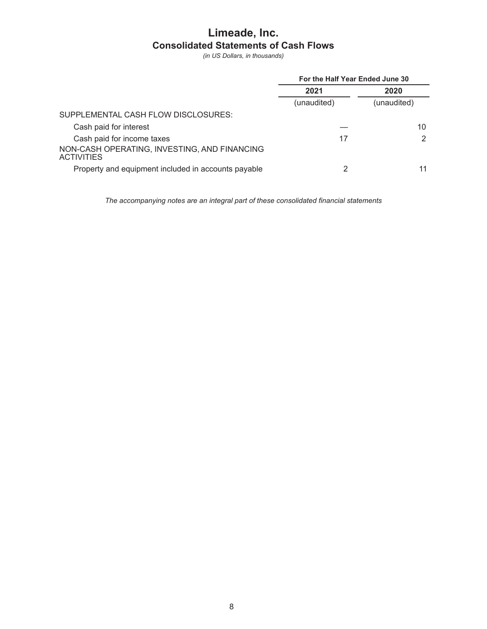# Limeade, Inc. **Consolidated Statements of Cash Flows**

(in US Dollars, in thousands)

|                                                                   | For the Half Year Ended June 30 |             |  |  |
|-------------------------------------------------------------------|---------------------------------|-------------|--|--|
|                                                                   | 2021                            | 2020        |  |  |
|                                                                   | (unaudited)                     | (unaudited) |  |  |
| SUPPLEMENTAL CASH FLOW DISCLOSURES:                               |                                 |             |  |  |
| Cash paid for interest                                            |                                 | 10          |  |  |
| Cash paid for income taxes                                        | 17                              | 2           |  |  |
| NON-CASH OPERATING, INVESTING, AND FINANCING<br><b>ACTIVITIES</b> |                                 |             |  |  |
| Property and equipment included in accounts payable               |                                 | 11          |  |  |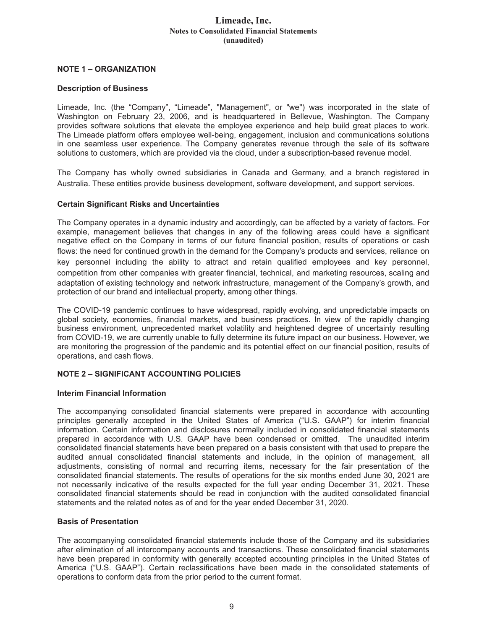### Limeade, Inc. **Notes to Consolidated Financial Statements** (unaudited)

## **NOTE 1 - ORGANIZATION**

#### **Description of Business**

Limeade, Inc. (the "Company", "Limeade", "Management", or "we") was incorporated in the state of Washington on February 23, 2006, and is headquartered in Bellevue, Washington. The Company provides software solutions that elevate the employee experience and help build great places to work. The Limeade platform offers employee well-being, engagement, inclusion and communications solutions in one seamless user experience. The Company generates revenue through the sale of its software solutions to customers, which are provided via the cloud, under a subscription-based revenue model.

The Company has wholly owned subsidiaries in Canada and Germany, and a branch registered in Australia. These entities provide business development, software development, and support services.

#### **Certain Significant Risks and Uncertainties**

The Company operates in a dynamic industry and accordingly, can be affected by a variety of factors. For example, management believes that changes in any of the following areas could have a significant negative effect on the Company in terms of our future financial position, results of operations or cash flows: the need for continued growth in the demand for the Company's products and services, reliance on key personnel including the ability to attract and retain qualified employees and key personnel, competition from other companies with greater financial, technical, and marketing resources, scaling and adaptation of existing technology and network infrastructure, management of the Company's growth, and protection of our brand and intellectual property, among other things.

The COVID-19 pandemic continues to have widespread, rapidly evolving, and unpredictable impacts on global society, economies, financial markets, and business practices. In view of the rapidly changing business environment, unprecedented market volatility and heightened degree of uncertainty resulting from COVID-19, we are currently unable to fully determine its future impact on our business. However, we are monitoring the progression of the pandemic and its potential effect on our financial position, results of operations, and cash flows.

# **NOTE 2 - SIGNIFICANT ACCOUNTING POLICIES**

#### **Interim Financial Information**

The accompanying consolidated financial statements were prepared in accordance with accounting principles generally accepted in the United States of America ("U.S. GAAP") for interim financial information. Certain information and disclosures normally included in consolidated financial statements prepared in accordance with U.S. GAAP have been condensed or omitted. The unaudited interim consolidated financial statements have been prepared on a basis consistent with that used to prepare the audited annual consolidated financial statements and include, in the opinion of management, all adjustments, consisting of normal and recurring items, necessary for the fair presentation of the consolidated financial statements. The results of operations for the six months ended June 30, 2021 are not necessarily indicative of the results expected for the full year ending December 31, 2021. These consolidated financial statements should be read in conjunction with the audited consolidated financial statements and the related notes as of and for the year ended December 31, 2020.

#### **Basis of Presentation**

The accompanying consolidated financial statements include those of the Company and its subsidiaries after elimination of all intercompany accounts and transactions. These consolidated financial statements have been prepared in conformity with generally accepted accounting principles in the United States of America ("U.S. GAAP"). Certain reclassifications have been made in the consolidated statements of operations to conform data from the prior period to the current format.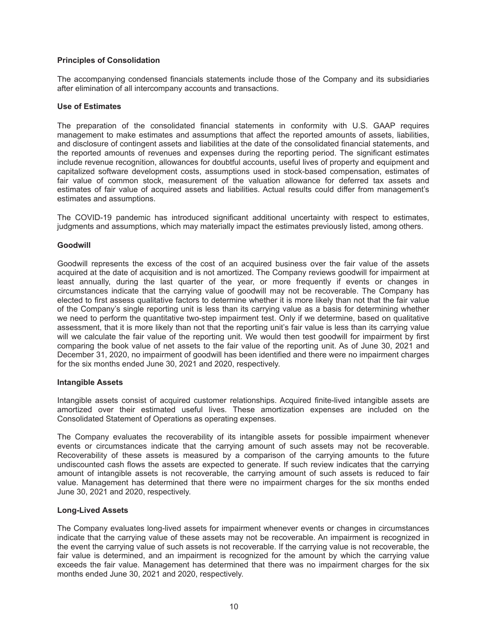#### **Principles of Consolidation**

The accompanying condensed financials statements include those of the Company and its subsidiaries after elimination of all intercompany accounts and transactions.

#### Use of Estimates

The preparation of the consolidated financial statements in conformity with U.S. GAAP requires management to make estimates and assumptions that affect the reported amounts of assets, liabilities, and disclosure of contingent assets and liabilities at the date of the consolidated financial statements, and the reported amounts of revenues and expenses during the reporting period. The significant estimates include revenue recognition, allowances for doubtful accounts, useful lives of property and equipment and capitalized software development costs, assumptions used in stock-based compensation, estimates of fair value of common stock, measurement of the valuation allowance for deferred tax assets and estimates of fair value of acquired assets and liabilities. Actual results could differ from management's estimates and assumptions.

The COVID-19 pandemic has introduced significant additional uncertainty with respect to estimates, judgments and assumptions, which may materially impact the estimates previously listed, among others.

#### **Goodwill**

Goodwill represents the excess of the cost of an acquired business over the fair value of the assets acquired at the date of acquisition and is not amortized. The Company reviews goodwill for impairment at least annually, during the last quarter of the year, or more frequently if events or changes in circumstances indicate that the carrying value of goodwill may not be recoverable. The Company has elected to first assess qualitative factors to determine whether it is more likely than not that the fair value of the Company's single reporting unit is less than its carrying value as a basis for determining whether we need to perform the quantitative two-step impairment test. Only if we determine, based on qualitative assessment, that it is more likely than not that the reporting unit's fair value is less than its carrying value will we calculate the fair value of the reporting unit. We would then test goodwill for impairment by first comparing the book value of net assets to the fair value of the reporting unit. As of June 30, 2021 and December 31, 2020, no impairment of goodwill has been identified and there were no impairment charges for the six months ended June 30, 2021 and 2020, respectively.

#### **Intangible Assets**

Intangible assets consist of acquired customer relationships. Acquired finite-lived intangible assets are amortized over their estimated useful lives. These amortization expenses are included on the Consolidated Statement of Operations as operating expenses.

The Company evaluates the recoverability of its intangible assets for possible impairment whenever events or circumstances indicate that the carrying amount of such assets may not be recoverable. Recoverability of these assets is measured by a comparison of the carrying amounts to the future undiscounted cash flows the assets are expected to generate. If such review indicates that the carrying amount of intangible assets is not recoverable, the carrying amount of such assets is reduced to fair value. Management has determined that there were no impairment charges for the six months ended June 30, 2021 and 2020, respectively.

#### **Long-Lived Assets**

The Company evaluates long-lived assets for impairment whenever events or changes in circumstances indicate that the carrying value of these assets may not be recoverable. An impairment is recognized in the event the carrying value of such assets is not recoverable. If the carrying value is not recoverable, the fair value is determined, and an impairment is recognized for the amount by which the carrying value exceeds the fair value. Management has determined that there was no impairment charges for the six months ended June 30, 2021 and 2020, respectively.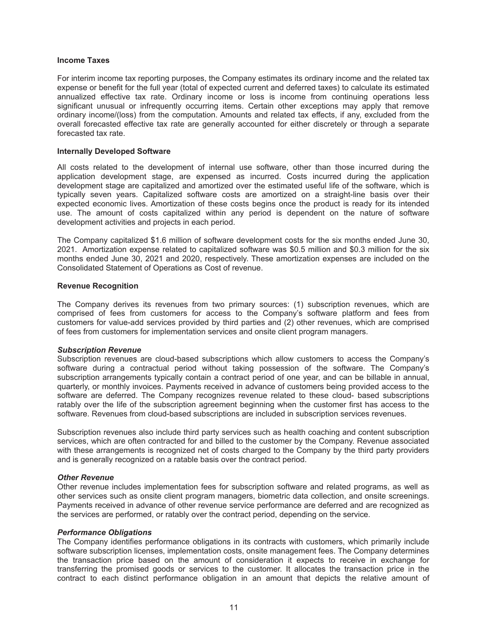#### **Income Taxes**

For interim income tax reporting purposes, the Company estimates its ordinary income and the related tax expense or benefit for the full year (total of expected current and deferred taxes) to calculate its estimated annualized effective tax rate. Ordinary income or loss is income from continuing operations less significant unusual or infrequently occurring items. Certain other exceptions may apply that remove ordinary income/(loss) from the computation. Amounts and related tax effects, if any, excluded from the overall forecasted effective tax rate are generally accounted for either discretely or through a separate forecasted tax rate

#### **Internally Developed Software**

All costs related to the development of internal use software, other than those incurred during the application development stage, are expensed as incurred. Costs incurred during the application development stage are capitalized and amortized over the estimated useful life of the software, which is typically seven years. Capitalized software costs are amortized on a straight-line basis over their expected economic lives. Amortization of these costs begins once the product is ready for its intended use. The amount of costs capitalized within any period is dependent on the nature of software development activities and projects in each period.

The Company capitalized \$1.6 million of software development costs for the six months ended June 30, 2021. Amortization expense related to capitalized software was \$0.5 million and \$0.3 million for the six months ended June 30, 2021 and 2020, respectively. These amortization expenses are included on the Consolidated Statement of Operations as Cost of revenue.

#### **Revenue Recognition**

The Company derives its revenues from two primary sources: (1) subscription revenues, which are comprised of fees from customers for access to the Company's software platform and fees from customers for value-add services provided by third parties and  $(2)$  other revenues, which are comprised of fees from customers for implementation services and onsite client program managers.

#### **Subscription Revenue**

Subscription revenues are cloud-based subscriptions which allow customers to access the Company's software during a contractual period without taking possession of the software. The Company's subscription arrangements typically contain a contract period of one year, and can be billable in annual. quarterly, or monthly invoices. Payments received in advance of customers being provided access to the software are deferred. The Company recognizes revenue related to these cloud- based subscriptions ratably over the life of the subscription agreement beginning when the customer first has access to the software. Revenues from cloud-based subscriptions are included in subscription services revenues.

Subscription revenues also include third party services such as health coaching and content subscription services, which are often contracted for and billed to the customer by the Company. Revenue associated with these arrangements is recognized net of costs charged to the Company by the third party providers and is generally recognized on a ratable basis over the contract period.

#### **Other Revenue**

Other revenue includes implementation fees for subscription software and related programs, as well as other services such as onsite client program managers, biometric data collection, and onsite screenings. Payments received in advance of other revenue service performance are deferred and are recognized as the services are performed, or ratably over the contract period, depending on the service.

#### **Performance Obligations**

The Company identifies performance obligations in its contracts with customers, which primarily include software subscription licenses, implementation costs, onsite management fees. The Company determines the transaction price based on the amount of consideration it expects to receive in exchange for transferring the promised goods or services to the customer. It allocates the transaction price in the contract to each distinct performance obligation in an amount that depicts the relative amount of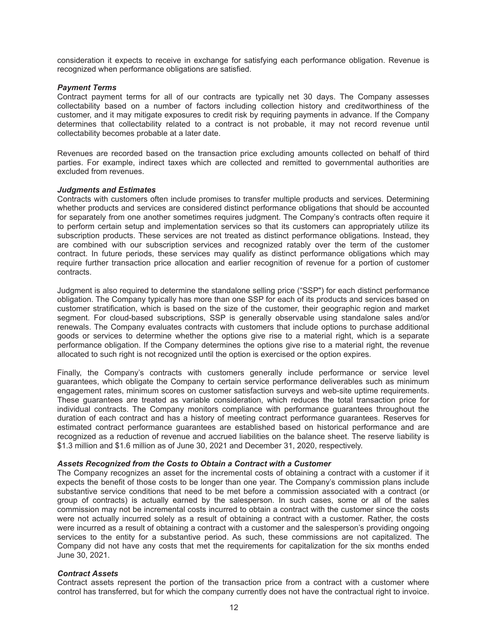consideration it expects to receive in exchange for satisfying each performance obligation. Revenue is recognized when performance obligations are satisfied.

#### **Payment Terms**

Contract payment terms for all of our contracts are typically net 30 days. The Company assesses collectability based on a number of factors including collection history and creditworthiness of the customer, and it may mitigate exposures to credit risk by requiring payments in advance. If the Company determines that collectability related to a contract is not probable, it may not record revenue until collectability becomes probable at a later date.

Revenues are recorded based on the transaction price excluding amounts collected on behalf of third parties. For example, indirect taxes which are collected and remitted to governmental authorities are excluded from revenues.

#### **Judgments and Estimates**

Contracts with customers often include promises to transfer multiple products and services. Determining whether products and services are considered distinct performance obligations that should be accounted for separately from one another sometimes requires judgment. The Company's contracts often require it to perform certain setup and implementation services so that its customers can appropriately utilize its subscription products. These services are not treated as distinct performance obligations. Instead, they are combined with our subscription services and recognized ratably over the term of the customer contract. In future periods, these services may qualify as distinct performance obligations which may require further transaction price allocation and earlier recognition of revenue for a portion of customer contracts.

Judgment is also required to determine the standalone selling price ("SSP") for each distinct performance obligation. The Company typically has more than one SSP for each of its products and services based on customer stratification, which is based on the size of the customer, their geographic region and market segment. For cloud-based subscriptions, SSP is generally observable using standalone sales and/or renewals. The Company evaluates contracts with customers that include options to purchase additional goods or services to determine whether the options give rise to a material right, which is a separate performance obligation. If the Company determines the options give rise to a material right, the revenue allocated to such right is not recognized until the option is exercised or the option expires.

Finally, the Company's contracts with customers generally include performance or service level quarantees, which obligate the Company to certain service performance deliverables such as minimum engagement rates, minimum scores on customer satisfaction surveys and web-site uptime requirements. These guarantees are treated as variable consideration, which reduces the total transaction price for individual contracts. The Company monitors compliance with performance quarantees throughout the duration of each contract and has a history of meeting contract performance guarantees. Reserves for estimated contract performance quarantees are established based on historical performance and are recognized as a reduction of revenue and accrued liabilities on the balance sheet. The reserve liability is \$1.3 million and \$1.6 million as of June 30, 2021 and December 31, 2020, respectively.

#### Assets Recognized from the Costs to Obtain a Contract with a Customer

The Company recognizes an asset for the incremental costs of obtaining a contract with a customer if it expects the benefit of those costs to be longer than one year. The Company's commission plans include substantive service conditions that need to be met before a commission associated with a contract (or group of contracts) is actually earned by the salesperson. In such cases, some or all of the sales commission may not be incremental costs incurred to obtain a contract with the customer since the costs were not actually incurred solely as a result of obtaining a contract with a customer. Rather, the costs were incurred as a result of obtaining a contract with a customer and the salesperson's providing ongoing services to the entity for a substantive period. As such, these commissions are not capitalized. The Company did not have any costs that met the requirements for capitalization for the six months ended June 30, 2021.

#### **Contract Assets**

Contract assets represent the portion of the transaction price from a contract with a customer where control has transferred, but for which the company currently does not have the contractual right to invoice.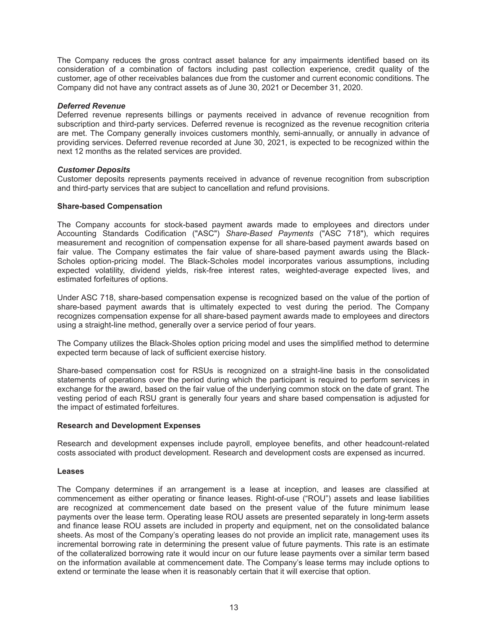The Company reduces the gross contract asset balance for any impairments identified based on its consideration of a combination of factors including past collection experience, credit quality of the customer, age of other receivables balances due from the customer and current economic conditions. The Company did not have any contract assets as of June 30, 2021 or December 31, 2020.

#### **Deferred Revenue**

Deferred revenue represents billings or payments received in advance of revenue recognition from subscription and third-party services. Deferred revenue is recognized as the revenue recognition criteria are met. The Company generally invoices customers monthly, semi-annually, or annually in advance of providing services. Deferred revenue recorded at June 30, 2021, is expected to be recognized within the next 12 months as the related services are provided.

#### **Customer Deposits**

Customer deposits represents payments received in advance of revenue recognition from subscription and third-party services that are subject to cancellation and refund provisions.

#### **Share-based Compensation**

The Company accounts for stock-based payment awards made to employees and directors under Accounting Standards Codification ("ASC") Share-Based Payments ("ASC 718"), which requires measurement and recognition of compensation expense for all share-based payment awards based on fair value. The Company estimates the fair value of share-based payment awards using the Black-Scholes option-pricing model. The Black-Scholes model incorporates various assumptions, including expected volatility, dividend yields, risk-free interest rates, weighted-average expected lives, and estimated forfeitures of options.

Under ASC 718, share-based compensation expense is recognized based on the value of the portion of share-based payment awards that is ultimately expected to vest during the period. The Company recognizes compensation expense for all share-based payment awards made to employees and directors using a straight-line method, generally over a service period of four years.

The Company utilizes the Black-Sholes option pricing model and uses the simplified method to determine expected term because of lack of sufficient exercise history.

Share-based compensation cost for RSUs is recognized on a straight-line basis in the consolidated statements of operations over the period during which the participant is required to perform services in exchange for the award, based on the fair value of the underlying common stock on the date of grant. The vesting period of each RSU grant is generally four years and share based compensation is adjusted for the impact of estimated forfeitures.

#### **Research and Development Expenses**

Research and development expenses include payroll, employee benefits, and other headcount-related costs associated with product development. Research and development costs are expensed as incurred.

#### Leases

The Company determines if an arrangement is a lease at inception, and leases are classified at commencement as either operating or finance leases. Right-of-use ("ROU") assets and lease liabilities are recognized at commencement date based on the present value of the future minimum lease payments over the lease term. Operating lease ROU assets are presented separately in long-term assets and finance lease ROU assets are included in property and equipment, net on the consolidated balance sheets. As most of the Company's operating leases do not provide an implicit rate, management uses its incremental borrowing rate in determining the present value of future payments. This rate is an estimate of the collateralized borrowing rate it would incur on our future lease payments over a similar term based on the information available at commencement date. The Company's lease terms may include options to extend or terminate the lease when it is reasonably certain that it will exercise that option.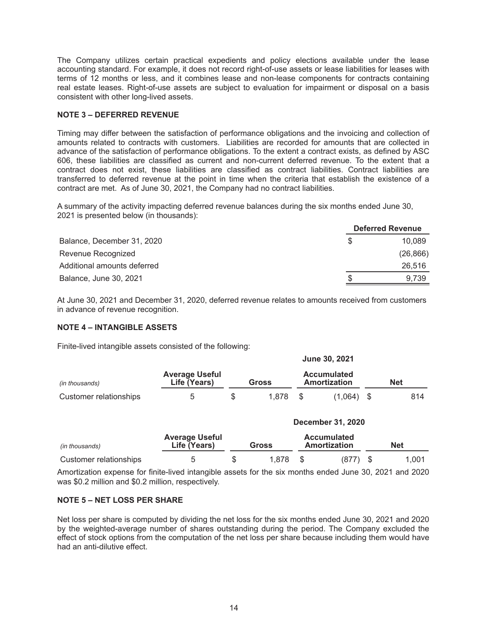The Company utilizes certain practical expedients and policy elections available under the lease accounting standard. For example, it does not record right-of-use assets or lease liabilities for leases with terms of 12 months or less, and it combines lease and non-lease components for contracts containing real estate leases. Right-of-use assets are subject to evaluation for impairment or disposal on a basis consistent with other long-lived assets.

#### **NOTE 3 - DEFERRED REVENUE**

Timing may differ between the satisfaction of performance obligations and the invoicing and collection of amounts related to contracts with customers. Liabilities are recorded for amounts that are collected in advance of the satisfaction of performance obligations. To the extent a contract exists, as defined by ASC 606, these liabilities are classified as current and non-current deferred revenue. To the extent that a contract does not exist, these liabilities are classified as contract liabilities. Contract liabilities are transferred to deferred revenue at the point in time when the criteria that establish the existence of a contract are met. As of June 30, 2021, the Company had no contract liabilities.

A summary of the activity impacting deferred revenue balances during the six months ended June 30, 2021 is presented below (in thousands):

|                             |   | <b>Deferred Revenue</b> |
|-----------------------------|---|-------------------------|
| Balance, December 31, 2020  |   | 10.089                  |
| Revenue Recognized          |   | (26, 866)               |
| Additional amounts deferred |   | 26.516                  |
| Balance, June 30, 2021      | S | 9.739                   |

At June 30, 2021 and December 31, 2020, deferred revenue relates to amounts received from customers in advance of revenue recognition.

#### **NOTE 4 - INTANGIBLE ASSETS**

Finite-lived intangible assets consisted of the following:

|                        |                                       |       |       |                                    | <u> Julio Juliana I</u> |     |     |
|------------------------|---------------------------------------|-------|-------|------------------------------------|-------------------------|-----|-----|
| (in thousands)         | <b>Average Useful</b><br>Life (Years) | Gross |       | <b>Accumulated</b><br>Amortization |                         | Net |     |
| Customer relationships |                                       |       | 1.878 |                                    | (1.064)                 |     | 814 |

 $l$ une 30 2021

an dia ang

|                        | December 31, 2020                     |  |                                             |  |       |            |       |
|------------------------|---------------------------------------|--|---------------------------------------------|--|-------|------------|-------|
| (in thousands)         | <b>Average Useful</b><br>Life (Years) |  | <b>Accumulated</b><br>Amortization<br>Gross |  |       | <b>Net</b> |       |
| Customer relationships |                                       |  | 1.878                                       |  | (877) |            | 1.001 |

Amortization expense for finite-lived intangible assets for the six months ended June 30, 2021 and 2020 was \$0.2 million and \$0.2 million, respectively.

#### **NOTE 5 - NET LOSS PER SHARE**

Net loss per share is computed by dividing the net loss for the six months ended June 30, 2021 and 2020 by the weighted-average number of shares outstanding during the period. The Company excluded the effect of stock options from the computation of the net loss per share because including them would have had an anti-dilutive effect.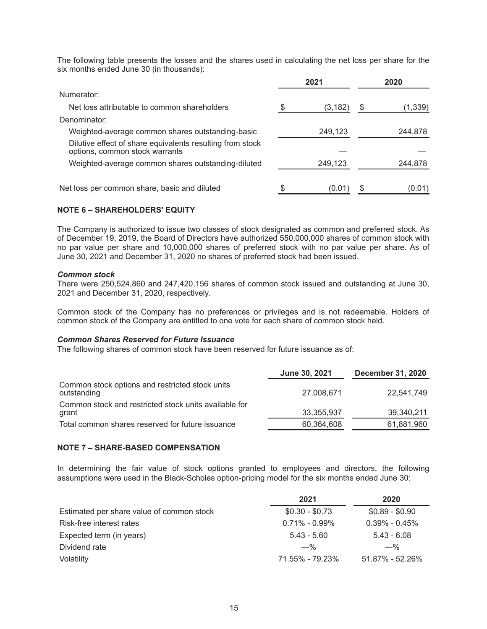The following table presents the losses and the shares used in calculating the net loss per share for the six months ended June 30 (in thousands):

|                                                                                             | 2021     | 2020    |
|---------------------------------------------------------------------------------------------|----------|---------|
| Numerator:                                                                                  |          |         |
| Net loss attributable to common shareholders                                                | (3, 182) | (1,339) |
| Denominator:                                                                                |          |         |
| Weighted-average common shares outstanding-basic                                            | 249,123  | 244,878 |
| Dilutive effect of share equivalents resulting from stock<br>options, common stock warrants |          |         |
| Weighted-average common shares outstanding-diluted                                          | 249,123  | 244,878 |
| Net loss per common share, basic and diluted                                                | (0.01    | (0.01)  |

### **NOTE 6 – SHAREHOLDERS' EQUITY**

The Company is authorized to issue two classes of stock designated as common and preferred stock. As of December 19, 2019, the Board of Directors have authorized 550,000,000 shares of common stock with no par value per share and 10,000,000 shares of preferred stock with no par value per share. As of June 30, 2021 and December 31, 2020 no shares of preferred stock had been issued.

#### **Common stock**

There were 250,524,860 and 247,420,156 shares of common stock issued and outstanding at June 30, 2021 and December 31, 2020, respectively.

Common stock of the Company has no preferences or privileges and is not redeemable. Holders of common stock of the Company are entitled to one vote for each share of common stock held.

#### **Common Shares Reserved for Future Issuance**

The following shares of common stock have been reserved for future issuance as of:

|                                                                | June 30, 2021 | <b>December 31, 2020</b> |
|----------------------------------------------------------------|---------------|--------------------------|
| Common stock options and restricted stock units<br>outstanding | 27,008,671    | 22,541,749               |
| Common stock and restricted stock units available for<br>grant | 33,355,937    | 39,340,211               |
| Total common shares reserved for future issuance               | 60,364,608    | 61,881,960               |

#### **NOTE 7 - SHARE-BASED COMPENSATION**

In determining the fair value of stock options granted to employees and directors, the following assumptions were used in the Black-Scholes option-pricing model for the six months ended June 30:

|                                           | 2021              | 2020              |
|-------------------------------------------|-------------------|-------------------|
| Estimated per share value of common stock | $$0.30 - $0.73$   | $$0.89 - $0.90$   |
| Risk-free interest rates                  | $0.71\% - 0.99\%$ | $0.39\% - 0.45\%$ |
| Expected term (in years)                  | $5.43 - 5.60$     | $5.43 - 6.08$     |
| Dividend rate                             | $-$ %             | $-\%$             |
| Volatility                                | 71.55% - 79.23%   | 51.87% - 52.26%   |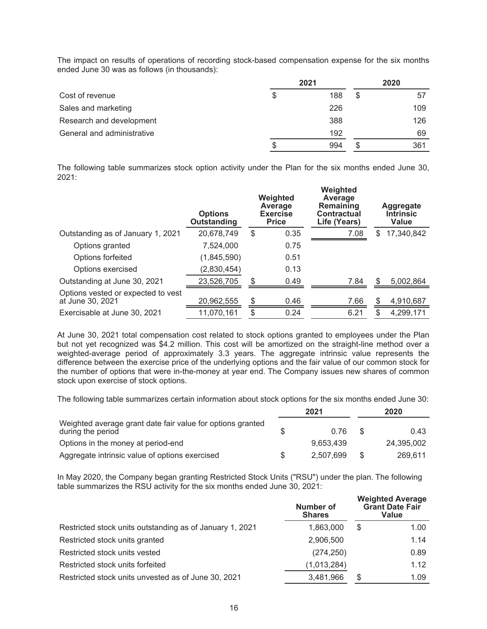The impact on results of operations of recording stock-based compensation expense for the six months ended June 30 was as follows (in thousands):

|                            | 2021      |    | 2020 |
|----------------------------|-----------|----|------|
| Cost of revenue            | \$<br>188 | \$ | 57   |
| Sales and marketing        | 226       |    | 109  |
| Research and development   | 388       |    | 126  |
| General and administrative | 192       |    | 69   |
|                            | 994       | S  | 361  |

The following table summarizes stock option activity under the Plan for the six months ended June 30,  $2021:$ 

|                                                        | <b>Options</b><br><b>Outstanding</b> |     | Weighted<br>Average<br><b>Exercise</b><br><b>Price</b> | Weighted<br>Average<br>Remaining<br><b>Contractual</b><br>Life (Years) | Aggregate<br><b>Intrinsic</b><br><b>Value</b> |
|--------------------------------------------------------|--------------------------------------|-----|--------------------------------------------------------|------------------------------------------------------------------------|-----------------------------------------------|
| Outstanding as of January 1, 2021                      | 20,678,749                           | \$  | 0.35                                                   | 7.08                                                                   | \$<br>17,340,842                              |
| Options granted                                        | 7,524,000                            |     | 0.75                                                   |                                                                        |                                               |
| Options forfeited                                      | (1,845,590)                          |     | 0.51                                                   |                                                                        |                                               |
| Options exercised                                      | (2,830,454)                          |     | 0.13                                                   |                                                                        |                                               |
| Outstanding at June 30, 2021                           | 23,526,705                           | \$. | 0.49                                                   | 7.84                                                                   | \$<br>5,002,864                               |
| Options vested or expected to vest<br>at June 30, 2021 | 20,962,555                           | S   | 0.46                                                   | 7.66                                                                   | 4,910,687                                     |
| Exercisable at June 30, 2021                           | 11,070,161                           | \$  | 0.24                                                   | 6.21                                                                   | \$<br>4,299,171                               |
|                                                        |                                      |     |                                                        |                                                                        |                                               |

At June 30, 2021 total compensation cost related to stock options granted to employees under the Plan but not yet recognized was \$4.2 million. This cost will be amortized on the straight-line method over a weighted-average period of approximately 3.3 years. The aggregate intrinsic value represents the difference between the exercise price of the underlying options and the fair value of our common stock for the number of options that were in-the-money at year end. The Company issues new shares of common stock upon exercise of stock options.

The following table summarizes certain information about stock options for the six months ended June 30:

|                                                                                 |     | 2021      | 2020 |            |
|---------------------------------------------------------------------------------|-----|-----------|------|------------|
| Weighted average grant date fair value for options granted<br>during the period |     | 0.76      | \$.  | 0.43       |
| Options in the money at period-end                                              |     | 9.653.439 |      | 24.395.002 |
| Aggregate intrinsic value of options exercised                                  | \$. | 2.507.699 | \$.  | 269.611    |

In May 2020, the Company began granting Restricted Stock Units ("RSU") under the plan. The following table summarizes the RSU activity for the six months ended June 30, 2021:

|                                                          | Number of<br><b>Shares</b> | <b>Weighted Average</b><br><b>Grant Date Fair</b><br>Value |      |
|----------------------------------------------------------|----------------------------|------------------------------------------------------------|------|
| Restricted stock units outstanding as of January 1, 2021 | 1,863,000                  | \$                                                         | 1.00 |
| Restricted stock units granted                           | 2,906,500                  |                                                            | 1.14 |
| Restricted stock units vested                            | (274, 250)                 |                                                            | 0.89 |
| Restricted stock units forfeited                         | (1,013,284)                |                                                            | 1.12 |
| Restricted stock units unvested as of June 30, 2021      | 3,481,966                  | S                                                          | 1.09 |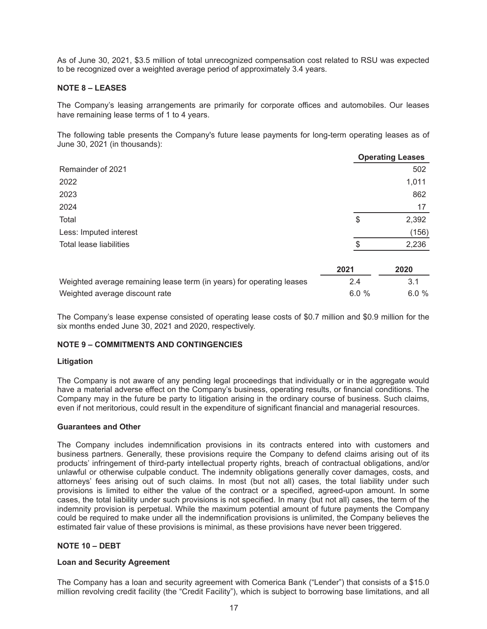As of June 30, 2021, \$3.5 million of total unrecognized compensation cost related to RSU was expected to be recognized over a weighted average period of approximately 3.4 years.

#### **NOTE 8 - LEASES**

The Company's leasing arrangements are primarily for corporate offices and automobiles. Our leases have remaining lease terms of 1 to 4 years.

The following table presents the Company's future lease payments for long-term operating leases as of June 30, 2021 (in thousands):

|                                                                       |      | <b>Operating Leases</b> |
|-----------------------------------------------------------------------|------|-------------------------|
| Remainder of 2021                                                     |      | 502                     |
| 2022                                                                  |      | 1,011                   |
| 2023                                                                  |      | 862                     |
| 2024                                                                  |      | 17                      |
| Total                                                                 | \$   | 2,392                   |
| Less: Imputed interest                                                |      | (156)                   |
| Total lease liabilities                                               |      | 2,236                   |
|                                                                       | 2021 | 2020                    |
| Weighted average remaining lease term (in years) for operating leases | 2.4  | 3.1                     |
| Weighted average discount rate                                        | 6.0% | 6.0%                    |

The Company's lease expense consisted of operating lease costs of \$0.7 million and \$0.9 million for the six months ended June 30, 2021 and 2020, respectively.

#### **NOTE 9 - COMMITMENTS AND CONTINGENCIES**

#### Litigation

The Company is not aware of any pending legal proceedings that individually or in the aggregate would have a material adverse effect on the Company's business, operating results, or financial conditions. The Company may in the future be party to litigation arising in the ordinary course of business. Such claims, even if not meritorious, could result in the expenditure of significant financial and managerial resources.

#### **Guarantees and Other**

The Company includes indemnification provisions in its contracts entered into with customers and business partners. Generally, these provisions require the Company to defend claims arising out of its products' infringement of third-party intellectual property rights, breach of contractual obligations, and/or unlawful or otherwise culpable conduct. The indemnity obligations generally cover damages, costs, and attorneys' fees arising out of such claims. In most (but not all) cases, the total liability under such provisions is limited to either the value of the contract or a specified, agreed-upon amount. In some cases, the total liability under such provisions is not specified. In many (but not all) cases, the term of the indemnity provision is perpetual. While the maximum potential amount of future payments the Company could be required to make under all the indemnification provisions is unlimited, the Company believes the estimated fair value of these provisions is minimal, as these provisions have never been triggered.

### NOTE  $10 - DEBT$

#### **Loan and Security Agreement**

The Company has a loan and security agreement with Comerica Bank ("Lender") that consists of a \$15.0 million revolving credit facility (the "Credit Facility"), which is subject to borrowing base limitations, and all